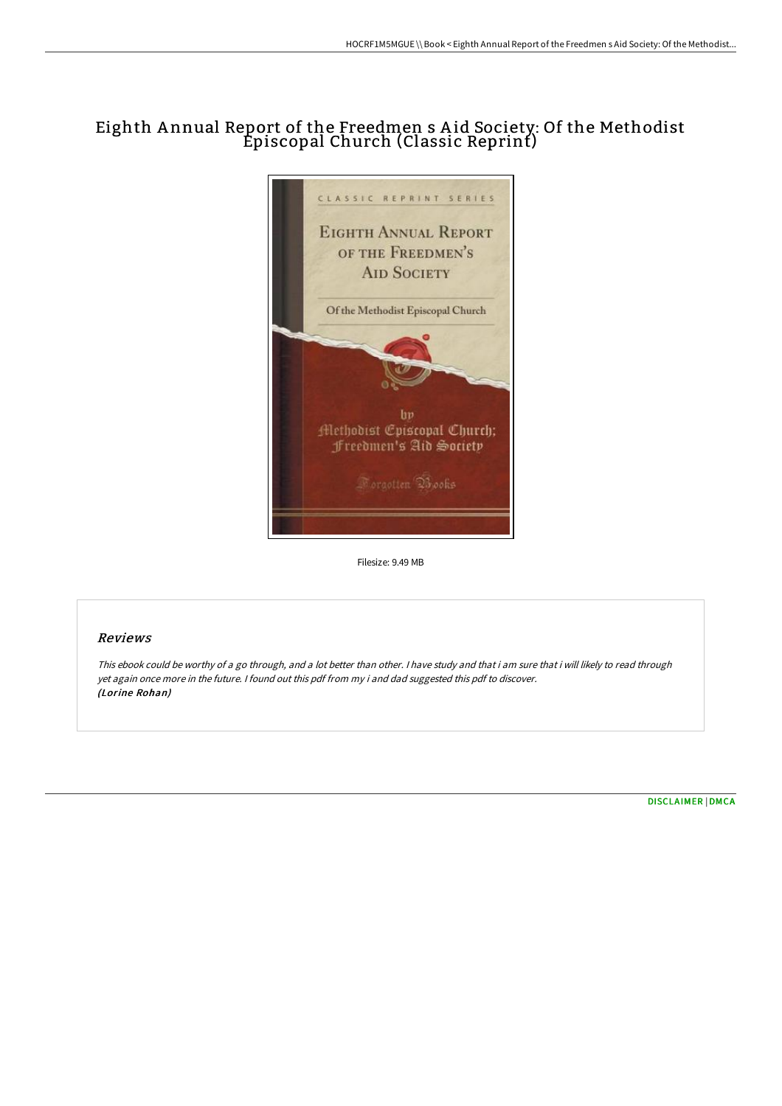# Eighth A nnual Report of the Freedmen s A id Society: Of the Methodist Episcopal Church (Classic Reprint)



Filesize: 9.49 MB

### Reviews

This ebook could be worthy of <sup>a</sup> go through, and <sup>a</sup> lot better than other. <sup>I</sup> have study and that i am sure that i will likely to read through yet again once more in the future. <sup>I</sup> found out this pdf from my i and dad suggested this pdf to discover. (Lorine Rohan)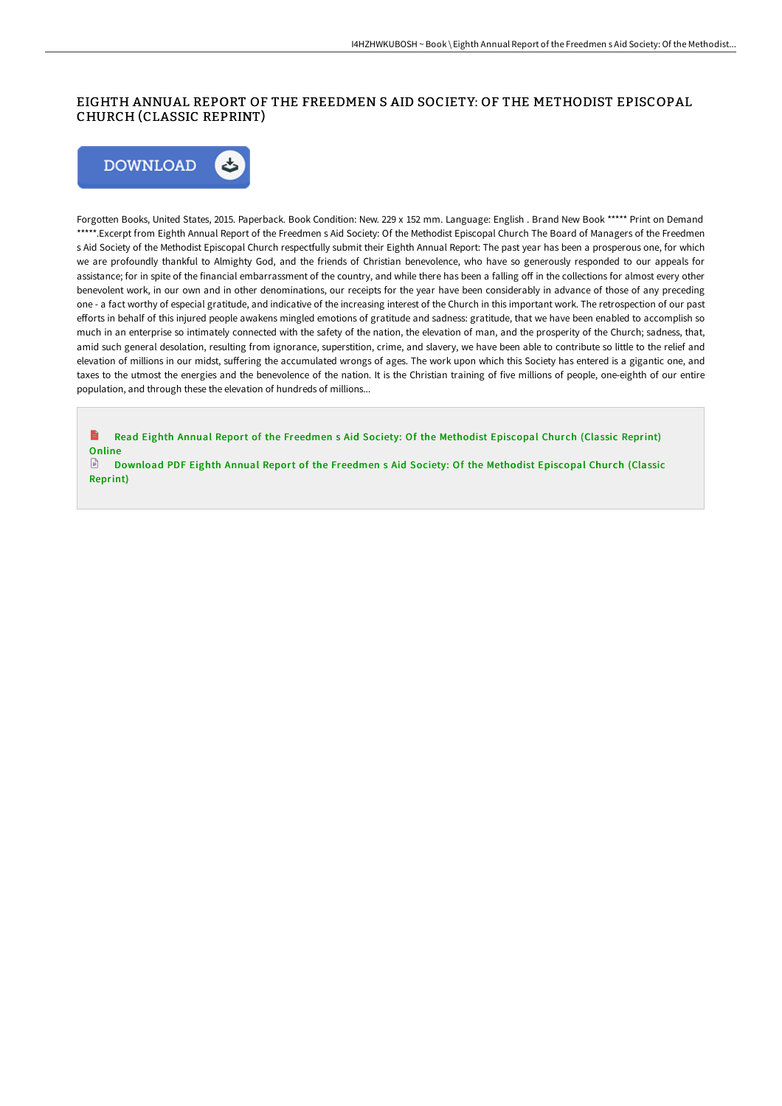#### EIGHTH ANNUAL REPORT OF THE FREEDMEN S AID SOCIETY: OF THE METHODIST EPISCOPAL CHURCH (CLASSIC REPRINT)



Forgotten Books, United States, 2015. Paperback. Book Condition: New. 229 x 152 mm. Language: English . Brand New Book \*\*\*\*\* Print on Demand \*\*\*\*\*.Excerpt from Eighth Annual Report of the Freedmen s Aid Society: Of the Methodist Episcopal Church The Board of Managers of the Freedmen s Aid Society of the Methodist Episcopal Church respectfully submit their Eighth Annual Report: The past year has been a prosperous one, for which we are profoundly thankful to Almighty God, and the friends of Christian benevolence, who have so generously responded to our appeals for assistance; for in spite of the financial embarrassment of the country, and while there has been a falling off in the collections for almost every other benevolent work, in our own and in other denominations, our receipts for the year have been considerably in advance of those of any preceding one - a fact worthy of especial gratitude, and indicative of the increasing interest of the Church in this important work. The retrospection of our past efforts in behalf of this injured people awakens mingled emotions of gratitude and sadness: gratitude, that we have been enabled to accomplish so much in an enterprise so intimately connected with the safety of the nation, the elevation of man, and the prosperity of the Church; sadness, that, amid such general desolation, resulting from ignorance, superstition, crime, and slavery, we have been able to contribute so little to the relief and elevation of millions in our midst, suffering the accumulated wrongs of ages. The work upon which this Society has entered is a gigantic one, and taxes to the utmost the energies and the benevolence of the nation. It is the Christian training of five millions of people, one-eighth of our entire population, and through these the elevation of hundreds of millions...

Read Eighth Annual Report of the [Freedmen](http://digilib.live/eighth-annual-report-of-the-freedmen-s-aid-socie.html) s Aid Society: Of the Methodist Episcopal Church (Classic Reprint) B **Online** 

 $\mathbb{P}$ [Download](http://digilib.live/eighth-annual-report-of-the-freedmen-s-aid-socie.html) PDF Eighth Annual Report of the Freedmen s Aid Society: Of the Methodist Episcopal Church (Classic Reprint)